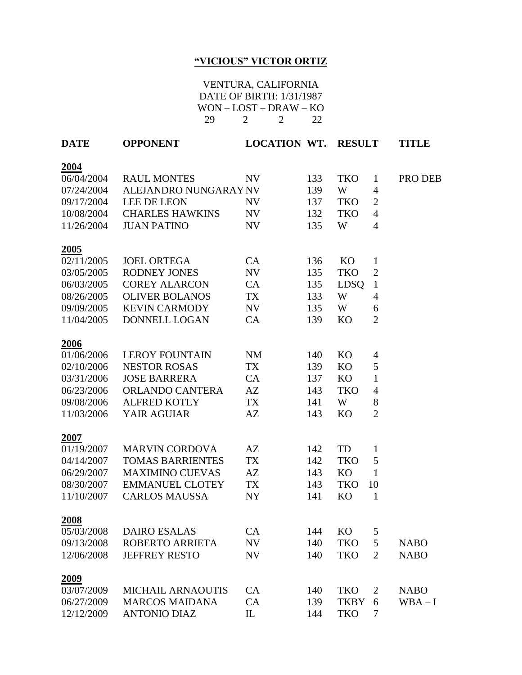## **"VICIOUS" VICTOR ORTIZ**

## VENTURA, CALIFORNIA DATE OF BIRTH: 1/31/1987 WON – LOST – DRAW – KO 29 2 2 22

| <b>DATE</b> | <b>OPPONENT</b>          | <b>LOCATION WT.</b> |     | <b>RESULT</b> |                | <b>TITLE</b> |
|-------------|--------------------------|---------------------|-----|---------------|----------------|--------------|
| 2004        |                          |                     |     |               |                |              |
| 06/04/2004  | <b>RAUL MONTES</b>       | <b>NV</b>           | 133 | <b>TKO</b>    | $\mathbf{1}$   | PRO DEB      |
| 07/24/2004  | ALEJANDRO NUNGARAY NV    |                     | 139 | W             | 4              |              |
| 09/17/2004  | <b>LEE DE LEON</b>       | NV                  | 137 | <b>TKO</b>    | $\overline{2}$ |              |
| 10/08/2004  | <b>CHARLES HAWKINS</b>   | NV                  | 132 | <b>TKO</b>    | $\overline{4}$ |              |
| 11/26/2004  | <b>JUAN PATINO</b>       | <b>NV</b>           | 135 | W             | $\overline{4}$ |              |
| 2005        |                          |                     |     |               |                |              |
| 02/11/2005  | <b>JOEL ORTEGA</b>       | CA                  | 136 | KO            | $\mathbf{1}$   |              |
| 03/05/2005  | <b>RODNEY JONES</b>      | NV                  | 135 | <b>TKO</b>    | $\mathbf{2}$   |              |
| 06/03/2005  | <b>COREY ALARCON</b>     | CA                  | 135 | <b>LDSQ</b>   | 1              |              |
| 08/26/2005  | <b>OLIVER BOLANOS</b>    | <b>TX</b>           | 133 | W             | 4              |              |
| 09/09/2005  | <b>KEVIN CARMODY</b>     | NV                  | 135 | W             | 6              |              |
| 11/04/2005  | DONNELL LOGAN            | CA                  | 139 | <b>KO</b>     | $\overline{2}$ |              |
| 2006        |                          |                     |     |               |                |              |
| 01/06/2006  | <b>LEROY FOUNTAIN</b>    | <b>NM</b>           | 140 | KO            | 4              |              |
| 02/10/2006  | <b>NESTOR ROSAS</b>      | TX                  | 139 | KO            | 5              |              |
| 03/31/2006  | <b>JOSE BARRERA</b>      | CA                  | 137 | KO            | $\mathbf{1}$   |              |
| 06/23/2006  | <b>ORLANDO CANTERA</b>   | AZ                  | 143 | <b>TKO</b>    | $\overline{4}$ |              |
| 09/08/2006  | <b>ALFRED KOTEY</b>      | TX                  | 141 | W             | 8              |              |
| 11/03/2006  | YAIR AGUIAR              | AZ                  | 143 | <b>KO</b>     | $\overline{2}$ |              |
| 2007        |                          |                     |     |               |                |              |
| 01/19/2007  | <b>MARVIN CORDOVA</b>    | AZ                  | 142 | TD            | 1              |              |
| 04/14/2007  | <b>TOMAS BARRIENTES</b>  | <b>TX</b>           | 142 | <b>TKO</b>    | 5              |              |
| 06/29/2007  | <b>MAXIMINO CUEVAS</b>   | AZ                  | 143 | <b>KO</b>     | 1              |              |
| 08/30/2007  | <b>EMMANUEL CLOTEY</b>   | <b>TX</b>           | 143 | <b>TKO</b>    | 10             |              |
| 11/10/2007  | <b>CARLOS MAUSSA</b>     | <b>NY</b>           | 141 | <b>KO</b>     | $\mathbf{1}$   |              |
| 2008        |                          |                     |     |               |                |              |
| 05/03/2008  | <b>DAIRO ESALAS</b>      | CA                  | 144 | KO            | 5              |              |
| 09/13/2008  | <b>ROBERTO ARRIETA</b>   | NV                  | 140 | <b>TKO</b>    | 5              | <b>NABO</b>  |
| 12/06/2008  | <b>JEFFREY RESTO</b>     | <b>NV</b>           | 140 | <b>TKO</b>    | $\overline{2}$ | <b>NABO</b>  |
| 2009        |                          |                     |     |               |                |              |
| 03/07/2009  | <b>MICHAIL ARNAOUTIS</b> | CA                  | 140 | <b>TKO</b>    | 2              | <b>NABO</b>  |
| 06/27/2009  | <b>MARCOS MAIDANA</b>    | CA                  | 139 | <b>TKBY</b>   | 6              | $WBA-I$      |
| 12/12/2009  | <b>ANTONIO DIAZ</b>      | IL                  | 144 | <b>TKO</b>    | 7              |              |